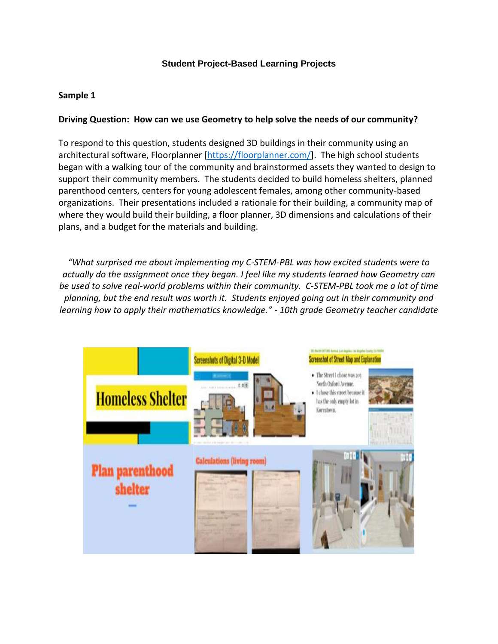## **Student Project-Based Learning Projects**

# **Sample 1**

#### **Driving Question: How can we use Geometry to help solve the needs of our community?**

To respond to this question, students designed 3D buildings in their community using an architectural software, Floorplanner [\[https://floorplanner.com/\]](https://floorplanner.com/). The high school students began with a walking tour of the community and brainstormed assets they wanted to design to support their community members. The students decided to build homeless shelters, planned parenthood centers, centers for young adolescent females, among other community-based organizations. Their presentations included a rationale for their building, a community map of where they would build their building, a floor planner, 3D dimensions and calculations of their plans, and a budget for the materials and building.

*"What surprised me about implementing my C-STEM-PBL was how excited students were to actually do the assignment once they began. I feel like my students learned how Geometry can be used to solve real-world problems within their community. C-STEM-PBL took me a lot of time planning, but the end result was worth it. Students enjoyed going out in their community and learning how to apply their mathematics knowledge." - 10th grade Geometry teacher candidate*